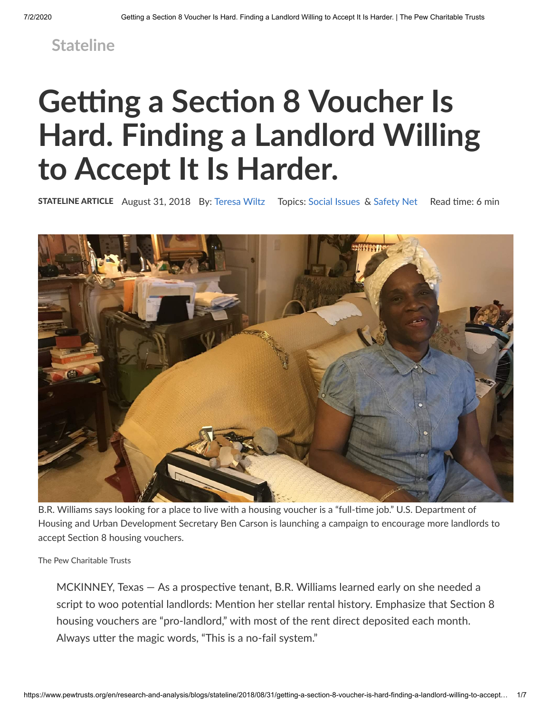## **[Stateline](https://www.pewtrusts.org/en/research-and-analysis/blogs/stateline)**

# **Getting a Section 8 Voucher Is Hard. Finding a Landlord Willing to Accept It Is Harder.**

**STATELINE ARTICLE** August 31, 2018 By: [Teresa](https://www.pewtrusts.org/en/research-and-analysis/blogs/stateline/about/teresa-wiltz) Wiltz Topics: [Social](https://www.pewtrusts.org/en/search?topic=Social%20Issues) Issues & [Safety](https://www.pewtrusts.org/en/search?topic=Safety%20Net) Net Read time: 6 min



B.R. Williams says looking for a place to live with a housing voucher is a "full-time job." U.S. Department of Housing and Urban Development Secretary Ben Carson is launching a campaign to encourage more landlords to accept Section 8 housing vouchers.

The Pew Charitable Trusts

 $MCKINNEY$ , Texas  $-$  As a prospective tenant, B.R. Williams learned early on she needed a script to woo potential landlords: Mention her stellar rental history. Emphasize that Section 8 housing vouchers are "pro-landlord," with most of the rent direct deposited each month. Always utter the magic words, "This is a no-fail system."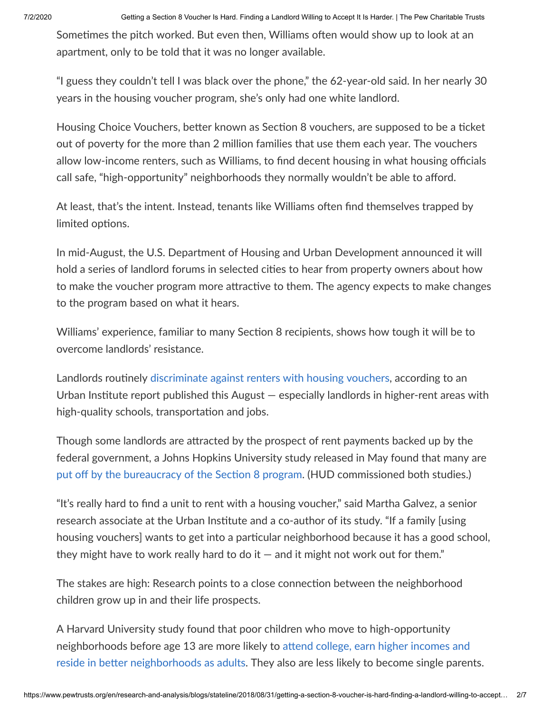7/2/2020 Getting a Section 8 Voucher Is Hard. Finding a Landlord Willing to Accept It Is Harder. | The Pew Charitable Trusts

Sometimes the pitch worked. But even then, Williams often would show up to look at an apartment, only to be told that it was no longer available.

"I guess they couldn't tell I was black over the phone," the 62-year-old said. In her nearly 30 years in the housing voucher program, she's only had one white landlord.

Housing Choice Vouchers, better known as Section 8 vouchers, are supposed to be a ticket out of poverty for the more than 2 million families that use them each year. The vouchers allow low-income renters, such as Williams, to find decent housing in what housing officials call safe, "high-opportunity" neighborhoods they normally wouldn't be able to afford.

At least, that's the intent. Instead, tenants like Williams often find themselves trapped by limited options.

In mid-August, the U.S. Department of Housing and Urban Development announced it will hold a series of landlord forums in selected cities to hear from property owners about how to make the voucher program more attractive to them. The agency expects to make changes to the program based on what it hears.

Williams' experience, familiar to many Section 8 recipients, shows how tough it will be to overcome landlords' resistance.

Landlords routinely [discriminate](https://www.huduser.gov/portal/portal/sites/default/files/pdf/ExecSumm-Landlord-Acceptance-of-Housing-Choice-Vouchers.pdf) against renters with housing vouchers, according to an Urban Institute report published this August  $-$  especially landlords in higher-rent areas with high-quality schools, transportation and jobs.

Though some landlords are attracted by the prospect of rent payments backed up by the federal government, a Johns Hopkins University study released in May found that many are put off by the [bureaucracy](https://www.huduser.gov/portal/sites/default/files/pdf/Urban-Landlords-HCV-Program.pdf) of the Section 8 program. (HUD commissioned both studies.)

"It's really hard to find a unit to rent with a housing voucher," said Martha Galvez, a senior research associate at the Urban Institute and a co-author of its study. "If a family [using housing vouchers] wants to get into a particular neighborhood because it has a good school, they might have to work really hard to do it  $-$  and it might not work out for them."

The stakes are high: Research points to a close connection between the neighborhood children grow up in and their life prospects.

A Harvard University study found that poor children who move to high-opportunity neighborhoods before age 13 are more likely to attend college, earn higher incomes and reside in better [neighborhoods](https://scholar.harvard.edu/hendren/publications/effects-exposure-better-neighborhoods-children-new-evidence-moving-opportunity) as adults. They also are less likely to become single parents.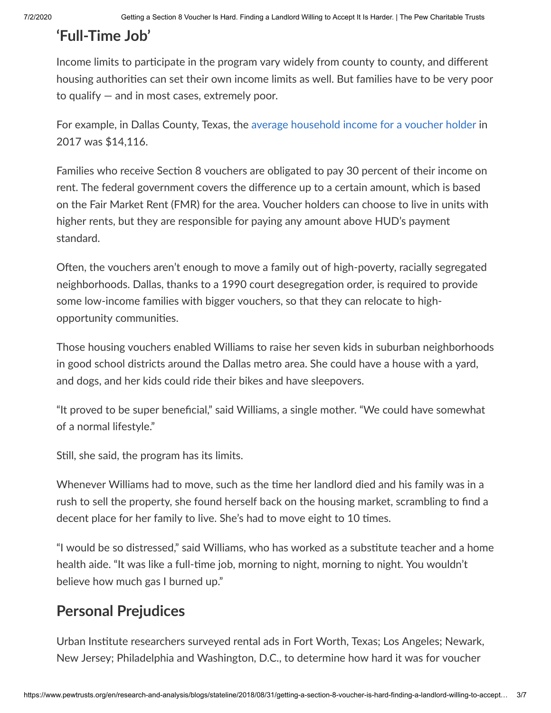## **'Full-Time Job'**

Income limits to participate in the program vary widely from county to county, and different housing authorities can set their own income limits as well. But families have to be very poor to qualify — and in most cases, extremely poor.

For example, in Dallas County, Texas, the average [household](https://www.huduser.gov/portal/datasets/assthsg.html) income for a voucher holder in 2017 was \$14,116.

Families who receive Section 8 vouchers are obligated to pay 30 percent of their income on rent. The federal government covers the difference up to a certain amount, which is based on the Fair Market Rent (FMR) for the area. Voucher holders can choose to live in units with higher rents, but they are responsible for paying any amount above HUD's payment standard.

Often, the vouchers aren't enough to move a family out of high-poverty, racially segregated neighborhoods. Dallas, thanks to a 1990 court desegregation order, is required to provide some low-income families with bigger vouchers, so that they can relocate to highopportunity communities.

Those housing vouchers enabled Williams to raise her seven kids in suburban neighborhoods in good school districts around the Dallas metro area. She could have a house with a yard, and dogs, and her kids could ride their bikes and have sleepovers.

"It proved to be super beneficial," said Williams, a single mother. "We could have somewhat of a normal lifestyle."

Still, she said, the program has its limits.

Whenever Williams had to move, such as the time her landlord died and his family was in a rush to sell the property, she found herself back on the housing market, scrambling to find a decent place for her family to live. She's had to move eight to 10 times.

"I would be so distressed," said Williams, who has worked as a substitute teacher and a home health aide. "It was like a full-time job, morning to night, morning to night. You wouldn't believe how much gas I burned up."

## **Personal Prejudices**

Urban Institute researchers surveyed rental ads in Fort Worth, Texas; Los Angeles; Newark, New Jersey; Philadelphia and Washington, D.C., to determine how hard it was for voucher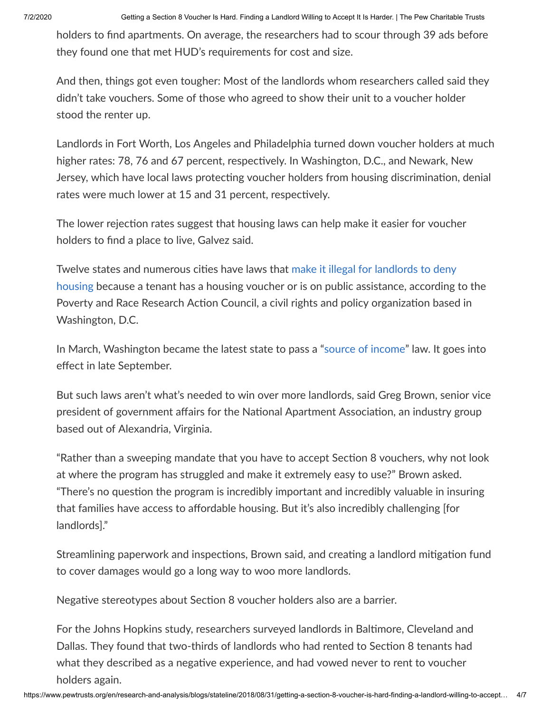7/2/2020 Getting a Section 8 Voucher Is Hard. Finding a Landlord Willing to Accept It Is Harder. | The Pew Charitable Trusts

holders to find apartments. On average, the researchers had to scour through 39 ads before they found one that met HUD's requirements for cost and size.

And then, things got even tougher: Most of the landlords whom researchers called said they didn't take vouchers. Some of those who agreed to show their unit to a voucher holder stood the renter up.

Landlords in Fort Worth, Los Angeles and Philadelphia turned down voucher holders at much higher rates: 78, 76 and 67 percent, respectively. In Washington, D.C., and Newark, New Jersey, which have local laws protecting voucher holders from housing discrimination, denial rates were much lower at 15 and 31 percent, respectively.

The lower rejection rates suggest that housing laws can help make it easier for voucher holders to find a place to live, Galvez said.

Twelve states and numerous cities have laws that make it illegal for landlords to deny housing because a tenant has a housing voucher or is on public [assistance,](https://prrac.org/state-and-local-source-of-income-nondiscrimination-laws_protections/) according to the Poverty and Race Research Action Council, a civil rights and policy organization based in Washington, D.C.

In March, Washington became the latest state to pass a "source of [income](http://lawfilesext.leg.wa.gov/biennium/2017-18/Pdf/Bills/House%20Passed%20Legislature/2578-S2.PL.pdf)" law. It goes into effect in late September.

But such laws aren't what's needed to win over more landlords, said Greg Brown, senior vice president of government affairs for the National Apartment Association, an industry group based out of Alexandria, Virginia.

"Rather than a sweeping mandate that you have to accept Section 8 vouchers, why not look at where the program has struggled and make it extremely easy to use?" Brown asked. "There's no question the program is incredibly important and incredibly valuable in insuring that families have access to affordable housing. But it's also incredibly challenging [for landlords]."

Streamlining paperwork and inspections, Brown said, and creating a landlord mitigation fund to cover damages would go a long way to woo more landlords.

Negative stereotypes about Section 8 voucher holders also are a barrier.

For the Johns Hopkins study, researchers surveyed landlords in Baltimore, Cleveland and Dallas. They found that two-thirds of landlords who had rented to Section 8 tenants had what they described as a negative experience, and had vowed never to rent to voucher holders again.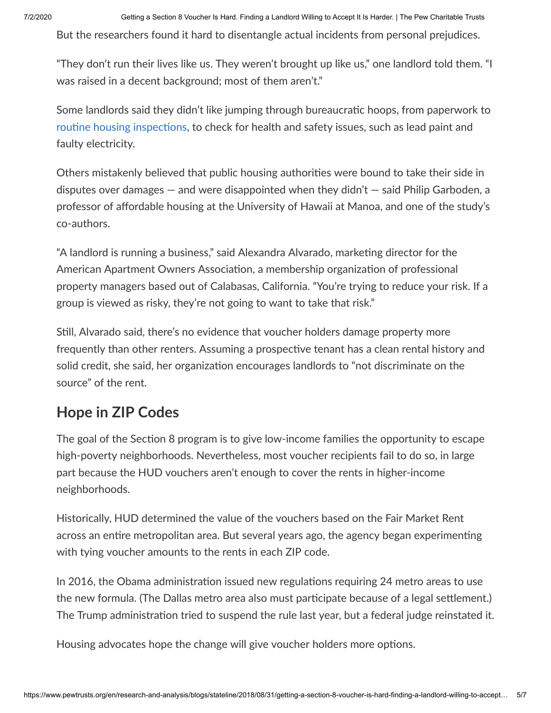But the researchers found it hard to disentangle actual incidents from personal prejudices.

"They don't run their lives like us. They weren't brought up like us," one landlord told them. "I was raised in a decent background; most of them aren't."

Some landlords said they didn't like jumping through bureaucratic hoops, from paperwork to routine housing inspections, to check for health and safety issues, such as lead paint and faulty electricity.

Others mistakenly believed that public housing authorities were bound to take their side in disputes over damages — and were disappointed when they didn't — said Philip Garboden, a professor of affordable housing at the University of Hawaii at Manoa, and one of the study's co-authors.

"A landlord is running a business," said Alexandra Alvarado, marketing director for the American Apartment Owners Association, a membership organization of professional property managers based out of Calabasas, California. "You're trying to reduce your risk. If a group is viewed as risky, they're not going to want to take that risk."

Still, Alvarado said, there's no evidence that voucher holders damage property more frequently than other renters. Assuming a prospective tenant has a clean rental history and solid credit, she said, her organization encourages landlords to "not discriminate on the source" of the rent.

### **Hope in ZIP Codes**

The goal of the Section 8 program is to give low-income families the opportunity to escape high-poverty neighborhoods. Nevertheless, most voucher recipients fail to do so, in large part because the HUD vouchers aren't enough to cover the rents in higher-income neighborhoods.

Historically, HUD determined the value of the vouchers based on the Fair Market Rent across an entire metropolitan area. But several years ago, the agency began experimenting with tying voucher amounts to the rents in each ZIP code.

In 2016, the Obama administration issued new regulations requiring 24 metro areas to use the new formula. (The Dallas metro area also must participate because of a legal settlement.) The Trump administration tried to suspend the rule last year, but a federal judge reinstated it.

Housing advocates hope the change will give voucher holders more options.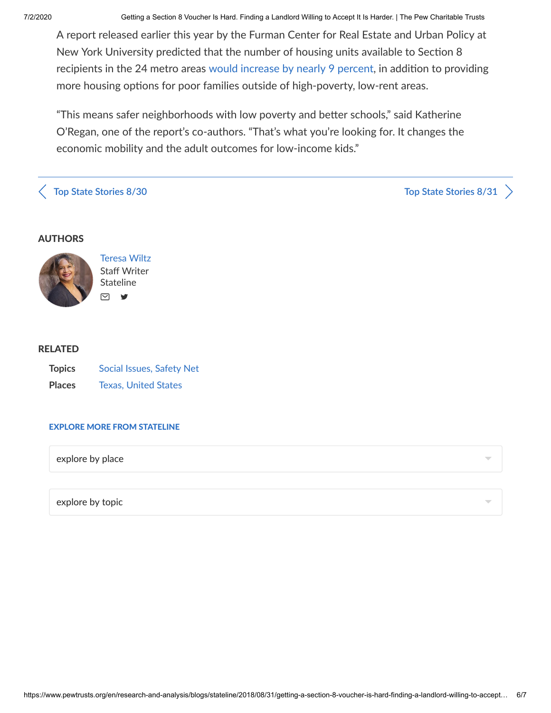7/2/2020 Getting a Section 8 Voucher Is Hard. Finding a Landlord Willing to Accept It Is Harder. | The Pew Charitable Trusts

A report released earlier this year by the Furman Center for Real Estate and Urban Policy at New York University predicted that the number of housing units available to Section 8 recipients in the 24 metro areas would [increase](http://furmancenter.org/files/NYUFurmanCenter_SAFMRbrief_22Jan2018.pdf) by nearly 9 percent, in addition to providing more housing options for poor families outside of high-poverty, low-rent areas.

"This means safer neighborhoods with low poverty and better schools," said Katherine O'Regan, one of the report's co-authors. "That's what you're looking for. It changes the economic mobility and the adult outcomes for low-income kids."

**[T](https://www.pewtrusts.org/en/research-and-analysis/blogs/stateline/2018/08/30/what-were-reading-top-state-stories)op State** [Stories](https://www.pewtrusts.org/en/research-and-analysis/blogs/stateline/2018/08/31/what-were-reading-top-state-stories) **8/30 Top State Stories 8/3[1](https://www.pewtrusts.org/en/research-and-analysis/blogs/stateline/2018/08/31/what-were-reading-top-state-stories)**  $\rightarrow$ 

#### AUTHORS



[Teresa](https://www.pewtrusts.org/en/research-and-analysis/blogs/stateline/about/teresa-wiltz) Wiltz Staff Writer Stateline

#### RELATED

| <b>Topics</b> | Social Issues, Safety Net   |
|---------------|-----------------------------|
| <b>Places</b> | <b>Texas, United States</b> |

#### EXPLORE MORE FROM STATELINE

explore by place

explore by topic